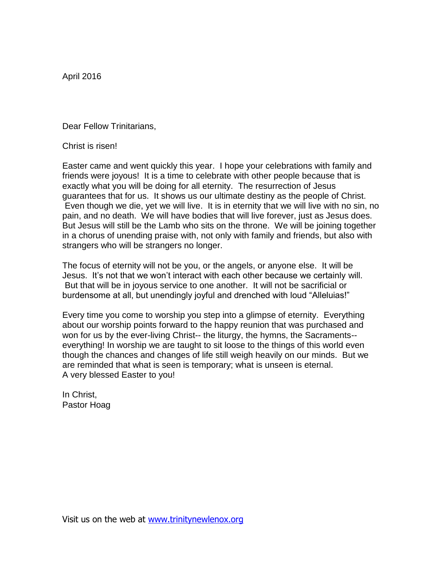April 2016

Dear Fellow Trinitarians,

Christ is risen!

Easter came and went quickly this year. I hope your celebrations with family and friends were joyous! It is a time to celebrate with other people because that is exactly what you will be doing for all eternity. The resurrection of Jesus guarantees that for us. It shows us our ultimate destiny as the people of Christ. Even though we die, yet we will live. It is in eternity that we will live with no sin, no pain, and no death. We will have bodies that will live forever, just as Jesus does. But Jesus will still be the Lamb who sits on the throne. We will be joining together in a chorus of unending praise with, not only with family and friends, but also with strangers who will be strangers no longer.

The focus of eternity will not be you, or the angels, or anyone else. It will be Jesus. It's not that we won't interact with each other because we certainly will. But that will be in joyous service to one another. It will not be sacrificial or burdensome at all, but unendingly joyful and drenched with loud "Alleluias!"

Every time you come to worship you step into a glimpse of eternity. Everything about our worship points forward to the happy reunion that was purchased and won for us by the ever-living Christ-- the liturgy, the hymns, the Sacraments- everything! In worship we are taught to sit loose to the things of this world even though the chances and changes of life still weigh heavily on our minds. But we are reminded that what is seen is temporary; what is unseen is eternal. A very blessed Easter to you!

In Christ, Pastor Hoag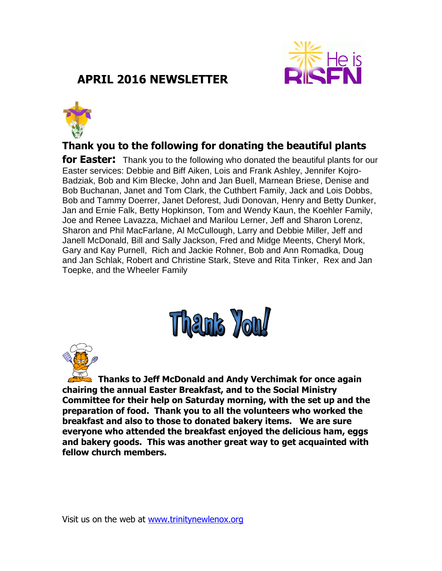

# **APRIL 2016 NEWSLETTER**



# **Thank you to the following for donating the beautiful plants**

**for Easter:** Thank you to the following who donated the beautiful plants for our Easter services: Debbie and Biff Aiken, Lois and Frank Ashley, Jennifer Kojro-Badziak, Bob and Kim Blecke, John and Jan Buell, Marnean Briese, Denise and Bob Buchanan, Janet and Tom Clark, the Cuthbert Family, Jack and Lois Dobbs, Bob and Tammy Doerrer, Janet Deforest, Judi Donovan, Henry and Betty Dunker, Jan and Ernie Falk, Betty Hopkinson, Tom and Wendy Kaun, the Koehler Family, Joe and Renee Lavazza, Michael and Marilou Lerner, Jeff and Sharon Lorenz, Sharon and Phil MacFarlane, Al McCullough, Larry and Debbie Miller, Jeff and Janell McDonald, Bill and Sally Jackson, Fred and Midge Meents, Cheryl Mork, Gary and Kay Purnell, Rich and Jackie Rohner, Bob and Ann Romadka, Doug and Jan Schlak, Robert and Christine Stark, Steve and Rita Tinker, Rex and Jan Toepke, and the Wheeler Family



**Thanks to Jeff McDonald and Andy Verchimak for once again chairing the annual Easter Breakfast, and to the Social Ministry Committee for their help on Saturday morning, with the set up and the preparation of food. Thank you to all the volunteers who worked the breakfast and also to those to donated bakery items. We are sure everyone who attended the breakfast enjoyed the delicious ham, eggs and bakery goods. This was another great way to get acquainted with fellow church members.**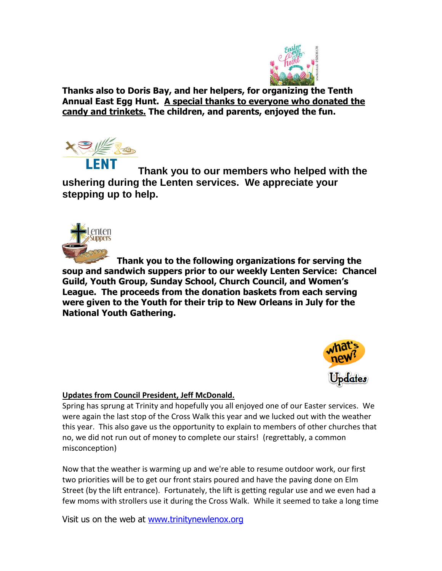

**Thanks also to Doris Bay, and her helpers, for organizing the Tenth Annual East Egg Hunt. A special thanks to everyone who donated the candy and trinkets. The children, and parents, enjoyed the fun.**



**Thank you to our members who helped with the ushering during the Lenten services. We appreciate your stepping up to help.**



**Thank you to the following organizations for serving the soup and sandwich suppers prior to our weekly Lenten Service: Chancel Guild, Youth Group, Sunday School, Church Council, and Women's League. The proceeds from the donation baskets from each serving were given to the Youth for their trip to New Orleans in July for the National Youth Gathering.**



#### **Updates from Council President, Jeff McDonald.**

Spring has sprung at Trinity and hopefully you all enjoyed one of our Easter services. We were again the last stop of the Cross Walk this year and we lucked out with the weather this year. This also gave us the opportunity to explain to members of other churches that no, we did not run out of money to complete our stairs! (regrettably, a common misconception)

Now that the weather is warming up and we're able to resume outdoor work, our first two priorities will be to get our front stairs poured and have the paving done on Elm Street (by the lift entrance). Fortunately, the lift is getting regular use and we even had a few moms with strollers use it during the Cross Walk. While it seemed to take a long time

Visit us on the web at [www.trinitynewlenox.org](http://www.trinitynewlenox.org/)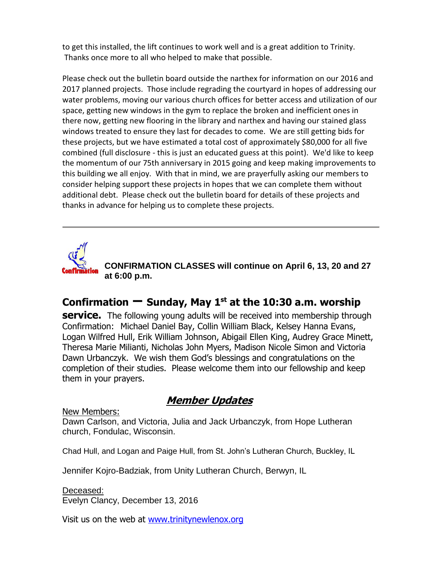to get this installed, the lift continues to work well and is a great addition to Trinity. Thanks once more to all who helped to make that possible.

Please check out the bulletin board outside the narthex for information on our 2016 and 2017 planned projects. Those include regrading the courtyard in hopes of addressing our water problems, moving our various church offices for better access and utilization of our space, getting new windows in the gym to replace the broken and inefficient ones in there now, getting new flooring in the library and narthex and having our stained glass windows treated to ensure they last for decades to come. We are still getting bids for these projects, but we have estimated a total cost of approximately \$80,000 for all five combined (full disclosure - this is just an educated guess at this point). We'd like to keep the momentum of our 75th anniversary in 2015 going and keep making improvements to this building we all enjoy. With that in mind, we are prayerfully asking our members to consider helping support these projects in hopes that we can complete them without additional debt. Please check out the bulletin board for details of these projects and thanks in advance for helping us to complete these projects.



**CONFIRMATION CLASSES will continue on April 6, 13, 20 and 27 at 6:00 p.m.** 

# **Confirmation – Sunday, May 1st at the 10:30 a.m. worship**

**service.** The following young adults will be received into membership through Confirmation: Michael Daniel Bay, Collin William Black, Kelsey Hanna Evans, Logan Wilfred Hull, Erik William Johnson, Abigail Ellen King, Audrey Grace Minett, Theresa Marie Milianti, Nicholas John Myers, Madison Nicole Simon and Victoria Dawn Urbanczyk. We wish them God's blessings and congratulations on the completion of their studies. Please welcome them into our fellowship and keep them in your prayers.

# **Member Updates**

New Members:

Dawn Carlson, and Victoria, Julia and Jack Urbanczyk, from Hope Lutheran church, Fondulac, Wisconsin.

Chad Hull, and Logan and Paige Hull, from St. John's Lutheran Church, Buckley, IL

Jennifer Kojro-Badziak, from Unity Lutheran Church, Berwyn, IL

Deceased: Evelyn Clancy, December 13, 2016

Visit us on the web at [www.trinitynewlenox.org](http://www.trinitynewlenox.org/)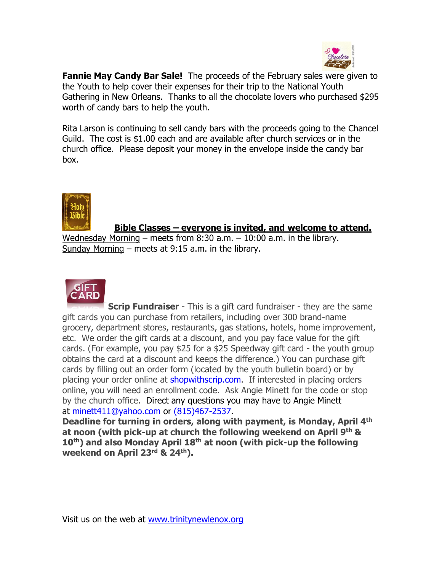

**Fannie May Candy Bar Sale!** The proceeds of the February sales were given to the Youth to help cover their expenses for their trip to the National Youth Gathering in New Orleans. Thanks to all the chocolate lovers who purchased \$295 worth of candy bars to help the youth.

Rita Larson is continuing to sell candy bars with the proceeds going to the Chancel Guild. The cost is \$1.00 each and are available after church services or in the church office. Please deposit your money in the envelope inside the candy bar box.



#### **Bible Classes – everyone is invited, and welcome to attend.**

Wednesday Morning – meets from  $8:30$  a.m.  $-10:00$  a.m. in the library. Sunday Morning – meets at 9:15 a.m. in the library.



**Scrip Fundraiser** - This is a gift card fundraiser - they are the same gift cards you can purchase from retailers, including over 300 brand-name grocery, department stores, restaurants, gas stations, hotels, home improvement, etc. We order the gift cards at a discount, and you pay face value for the gift cards. (For example, you pay \$25 for a \$25 Speedway gift card - the youth group obtains the card at a discount and keeps the difference.) You can purchase gift cards by filling out an order form (located by the youth bulletin board) or by placing your order online at **shopwithscrip.com**. If interested in placing orders online, you will need an enrollment code. Ask Angie Minett for the code or stop by the church office. Direct any questions you may have to Angie Minett at [minett411@yahoo.com](mailto:minett411@yahoo.com) or (815)467-2537.

**Deadline for turning in orders, along with payment, is Monday, April 4th at noon (with pick-up at church the following weekend on April 9th & 10th) and also Monday April 18th at noon (with pick-up the following weekend on April 23rd & 24th).**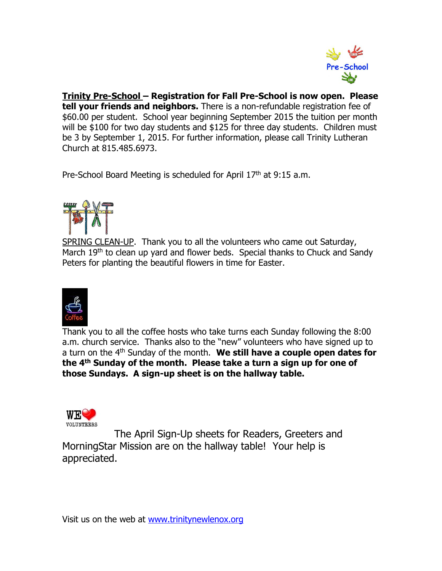

**Trinity Pre-School – Registration for Fall Pre-School is now open. Please tell your friends and neighbors.** There is a non-refundable registration fee of \$60.00 per student. School year beginning September 2015 the tuition per month will be \$100 for two day students and \$125 for three day students. Children must be 3 by September 1, 2015. For further information, please call Trinity Lutheran Church at 815.485.6973.

Pre-School Board Meeting is scheduled for April 17<sup>th</sup> at 9:15 a.m.



SPRING CLEAN-UP. Thank you to all the volunteers who came out Saturday, March 19<sup>th</sup> to clean up yard and flower beds. Special thanks to Chuck and Sandy Peters for planting the beautiful flowers in time for Easter.



Thank you to all the coffee hosts who take turns each Sunday following the 8:00 a.m. church service. Thanks also to the "new" volunteers who have signed up to a turn on the 4<sup>th</sup> Sunday of the month. We still have a couple open dates for **the 4th Sunday of the month. Please take a turn a sign up for one of those Sundays. A sign-up sheet is on the hallway table.** 



The April Sign-Up sheets for Readers, Greeters and MorningStar Mission are on the hallway table! Your help is appreciated.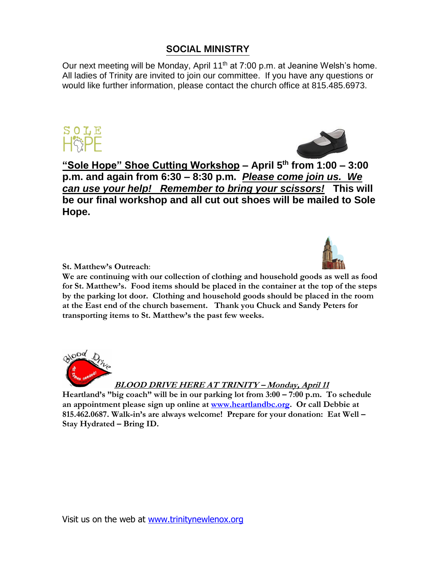# **SOCIAL MINISTRY**

Our next meeting will be Monday, April 11<sup>th</sup> at 7:00 p.m. at Jeanine Welsh's home. All ladies of Trinity are invited to join our committee. If you have any questions or would like further information, please contact the church office at 815.485.6973.





**"Sole Hope" Shoe Cutting Workshop – April 5th from 1:00 – 3:00 p.m. and again from 6:30 – 8:30 p.m.** *Please come join us. We can use your help! Remember to bring your scissors!* **This will be our final workshop and all cut out shoes will be mailed to Sole Hope.** 



**St. Matthew's Outreach**:

**We are continuing with our collection of clothing and household goods as well as food for St. Matthew's. Food items should be placed in the container at the top of the steps by the parking lot door. Clothing and household goods should be placed in the room at the East end of the church basement. Thank you Chuck and Sandy Peters for transporting items to St. Matthew's the past few weeks.**



**BLOOD DRIVE HERE AT TRINITY – Monday, April 11**

**Heartland's "big coach" will be in our parking lot from 3:00 – 7:00 p.m. To schedule an appointment please sign up online at [www.heartlandbc.org.](http://www.heartlandbc.org/) Or call Debbie at 815.462.0687. Walk-in's are always welcome! Prepare for your donation: Eat Well – Stay Hydrated – Bring ID.**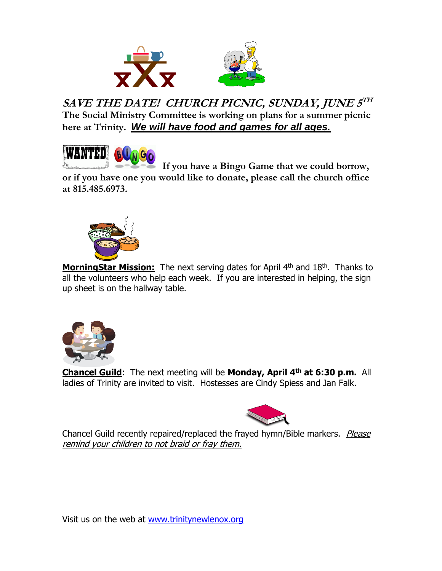

**SAVE THE DATE! CHURCH PICNIC, SUNDAY, JUNE 5 TH The Social Ministry Committee is working on plans for a summer picnic here at Trinity.** *We will have food and games for all ages.* 



 **If you have a Bingo Game that we could borrow, or if you have one you would like to donate, please call the church office at 815.485.6973.**



**MorningStar Mission:** The next serving dates for April 4<sup>th</sup> and 18<sup>th</sup>. Thanks to all the volunteers who help each week. If you are interested in helping, the sign up sheet is on the hallway table.



**Chancel Guild**: The next meeting will be **Monday, April 4 th at 6:30 p.m.** All ladies of Trinity are invited to visit. Hostesses are Cindy Spiess and Jan Falk.



Chancel Guild recently repaired/replaced the frayed hymn/Bible markers. Please remind your children to not braid or fray them.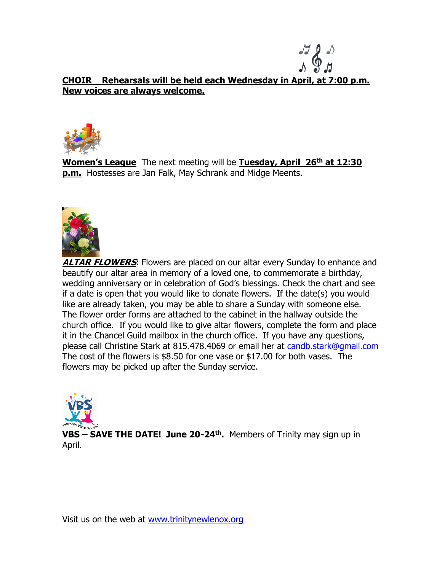

### **CHOIR Rehearsals will be held each Wednesday in April, at 7:00 p.m. New voices are always welcome.**



**Women's League** The next meeting will be **Tuesday, April 26<sup>th</sup> at 12:30 p.m.** Hostesses are Jan Falk, May Schrank and Midge Meents.



**ALTAR FLOWERS:** Flowers are placed on our altar every Sunday to enhance and beautify our altar area in memory of a loved one, to commemorate a birthday, wedding anniversary or in celebration of God's blessings. Check the chart and see if a date is open that you would like to donate flowers. If the date(s) you would like are already taken, you may be able to share a Sunday with someone else. The flower order forms are attached to the cabinet in the hallway outside the church office. If you would like to give altar flowers, complete the form and place it in the Chancel Guild mailbox in the church office. If you have any questions, please call Christine Stark at 815.478.4069 or email her at [candb.stark@gmail.com](mailto:candb.stark@gmail.com) The cost of the flowers is \$8.50 for one vase or \$17.00 for both vases. The flowers may be picked up after the Sunday service.



**VBS – SAVE THE DATE! June 20-24th .** Members of Trinity may sign up in April.